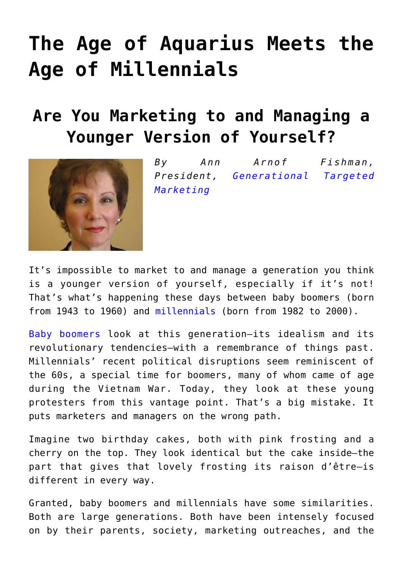## **[The Age of Aquarius Meets the](https://www.commpro.biz/the-age-of-aquarius-meets-the-age-of-millennials-are-you-marketing-to-and-managing-a-younger-version-of-yourself/) [Age of Millennials](https://www.commpro.biz/the-age-of-aquarius-meets-the-age-of-millennials-are-you-marketing-to-and-managing-a-younger-version-of-yourself/)**

## **Are You Marketing to and Managing a Younger Version of Yourself?**



*By Ann Arnof Fishman, President, [Generational Targeted](https://www.annfishman.com/) [Marketing](https://www.annfishman.com/)*

It's impossible to market to and manage a generation you think is a younger version of yourself, especially if it's not! That's what's happening these days between baby boomers (born from 1943 to 1960) and [millennials](https://www.commpro.biz/?s=ann+fishman) (born from 1982 to 2000).

[Baby boomers](https://www.commpro.biz/?s=baby+boomers) look at this generation—its idealism and its revolutionary tendencies—with a remembrance of things past. Millennials' recent political disruptions seem reminiscent of the 60s, a special time for boomers, many of whom came of age during the Vietnam War. Today, they look at these young protesters from this vantage point. That's a big mistake. It puts marketers and managers on the wrong path.

Imagine two birthday cakes, both with pink frosting and a cherry on the top. They look identical but the cake inside—the part that gives that lovely frosting its raison d'être—is different in every way.

Granted, baby boomers and millennials have some similarities. Both are large generations. Both have been intensely focused on by their parents, society, marketing outreaches, and the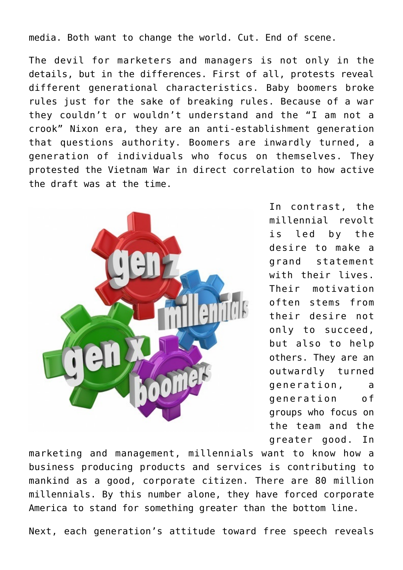media. Both want to change the world. Cut. End of scene.

The devil for marketers and managers is not only in the details, but in the differences. First of all, protests reveal different generational characteristics. Baby boomers broke rules just for the sake of breaking rules. Because of a war they couldn't or wouldn't understand and the "I am not a crook" Nixon era, they are an anti-establishment generation that questions authority. Boomers are inwardly turned, a generation of individuals who focus on themselves. They protested the Vietnam War in direct correlation to how active the draft was at the time.



In contrast, the millennial revolt is led by the desire to make a grand statement with their lives. Their motivation often stems from their desire not only to succeed, but also to help others. They are an outwardly turned generation, a generation of groups who focus on the team and the greater good. In

marketing and management, millennials want to know how a business producing products and services is contributing to mankind as a good, corporate citizen. There are 80 million millennials. By this number alone, they have forced corporate America to stand for something greater than the bottom line.

Next, each generation's attitude toward free speech reveals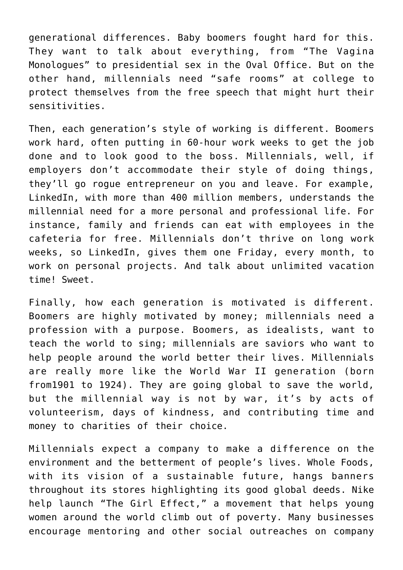generational differences. Baby boomers fought hard for this. They want to talk about everything, from "The Vagina Monologues" to presidential sex in the Oval Office. But on the other hand, millennials need "safe rooms" at college to protect themselves from the free speech that might hurt their sensitivities.

Then, each generation's style of working is different. Boomers work hard, often putting in 60-hour work weeks to get the job done and to look good to the boss. Millennials, well, if employers don't accommodate their style of doing things, they'll go rogue entrepreneur on you and leave. For example, LinkedIn, with more than 400 million members, understands the millennial need for a more personal and professional life. For instance, family and friends can eat with employees in the cafeteria for free. Millennials don't thrive on long work weeks, so LinkedIn, gives them one Friday, every month, to work on personal projects. And talk about unlimited vacation time! Sweet.

Finally, how each generation is motivated is different. Boomers are highly motivated by money; millennials need a profession with a purpose. Boomers, as idealists, want to teach the world to sing; millennials are saviors who want to help people around the world better their lives. Millennials are really more like the World War II generation (born from1901 to 1924). They are going global to save the world, but the millennial way is not by war, it's by acts of volunteerism, days of kindness, and contributing time and money to charities of their choice.

Millennials expect a company to make a difference on the environment and the betterment of people's lives. Whole Foods, with its vision of a sustainable future, hangs banners throughout its stores highlighting its good global deeds. Nike help launch "The Girl Effect," a movement that helps young women around the world climb out of poverty. Many businesses encourage mentoring and other social outreaches on company